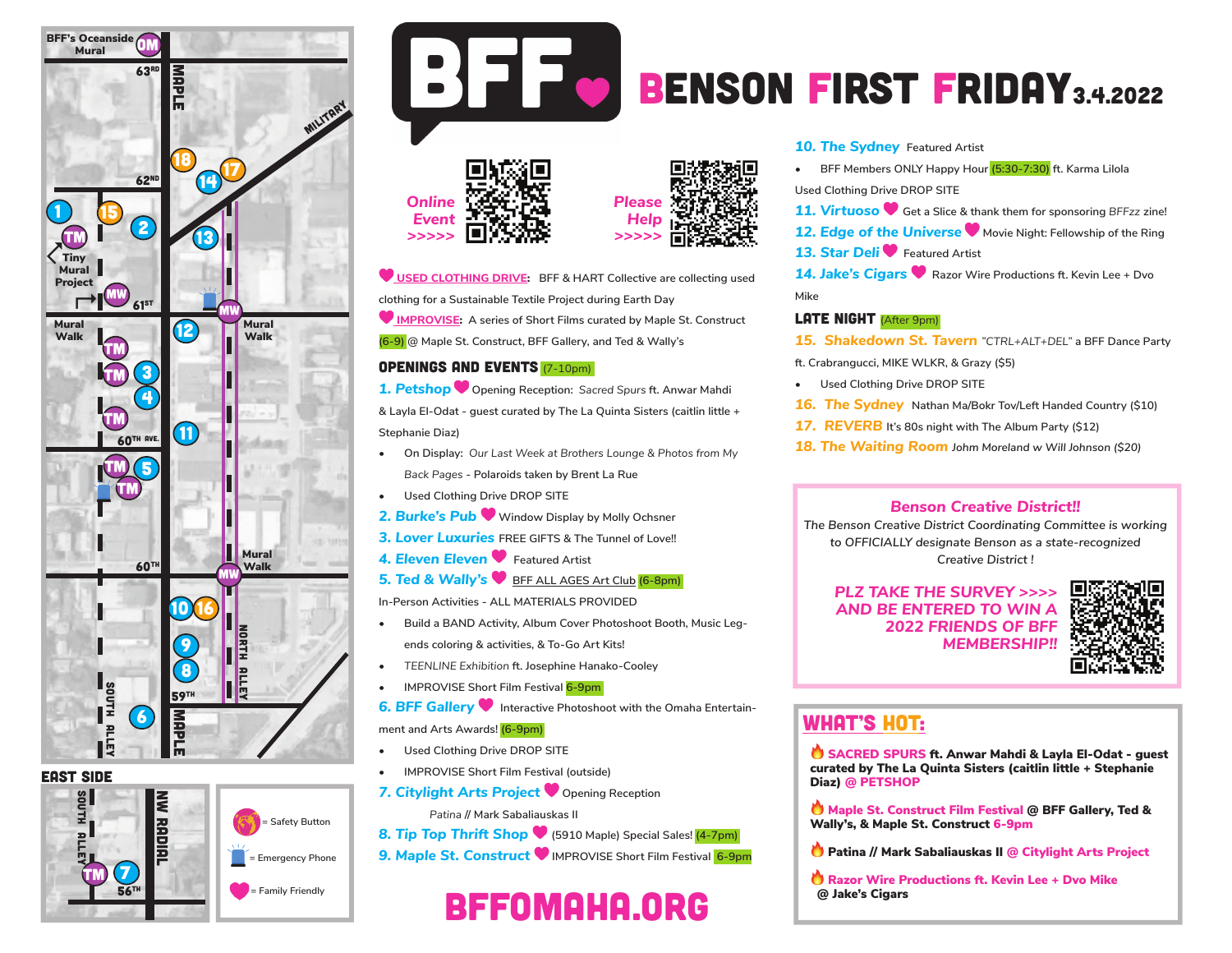

#### EAST side



 **= Emergency Phone = Family Friendly**

 **= Safety Button**



# BENSON FIRST FRIDAY3.4.2022





 **USED CLOTHING DRIVE: BFF & HART Collective are collecting used clothing for a Sustainable Textile Project during Earth Day**

 **IMPROVISE: A series of Short Films curated by Maple St. Construct (6-9) @ Maple St. Construct, BFF Gallery, and Ted & Wally's**

#### Openings and Events (7-10pm)

*1. Petshop* **Opening Reception:** *Sacred Spurs* **ft. Anwar Mahdi & Layla El-Odat - guest curated by The La Quinta Sisters (caitlin little + Stephanie Diaz)**

- **• On Display:** *Our Last Week at Brothers Lounge & Photos from My Back Pages* **- Polaroids taken by Brent La Rue**
- **• Used Clothing Drive DROP SITE**
- *2. Burke's Pub* **Window Display by Molly Ochsner**
- *3. Lover Luxuries* **FREE GIFTS & The Tunnel of Love!!**
- **4. Eleven Eleven C** Featured Artist
- **5. Ted & Wally's ♥ BFF ALL AGES Art Club (6-8pm)**
- **In-Person Activities ALL MATERIALS PROVIDED**
- **• Build a BAND Activity, Album Cover Photoshoot Booth, Music Legends coloring & activities, & To-Go Art Kits!**
- *• TEENLINE Exhibition* **ft. Josephine Hanako-Cooley**
- **• IMPROVISE Short Film Festival 6-9pm**

**6. BFF Gallery** Interactive Photoshoot with the Omaha Entertain**ment and Arts Awards! (6-9pm)**

- **• Used Clothing Drive DROP SITE**
- **• IMPROVISE Short Film Festival (outside)**
- **7. Citylight Arts Project C** Opening Reception
	- *Patina* **// Mark Sabaliauskas II**
- *8. Tip Top Thrift Shop* **(5910 Maple) Special Sales! (4-7pm)**
- **9. Maple St. Construct W** IMPROVISE Short Film Festival 6-9pm

#### **10. The Sydney** Featured Artist

**• BFF Members ONLY Happy Hour (5:30-7:30) ft. Karma Lilola**

**Used Clothing Drive DROP SITE** 

*11. Virtuoso* **Get a Slice & thank them for sponsoring** *BFFzz* **zine!**

#### **12. Edge of the Universe W** Movie Night: Fellowship of the Ring **13. Star Deli Featured Artist**

*14. Jake's Cigars* **Razor Wire Productions ft. Kevin Lee + Dvo Mike**

#### LATE NIGHT (After 9pm)

*15. Shakedown St. Tavern "CTRL+ALT+DEL"* **a BFF Dance Party** 

**ft. Crabrangucci, MIKE WLKR, & Grazy (\$5)**

- **• Used Clothing Drive DROP SITE**
- *16. The Sydney* **Nathan Ma/Bokr Tov/Left Handed Country (\$10)**
- *17. REVERB* **It's 80s night with The Album Party (\$12)**
- *18. The Waiting Room Johm Moreland w Will Johnson (\$20)*

#### *Benson Creative District!!*

*The Benson Creative District Coordinating Committee is working to OFFICIALLY designate Benson as a state-recognized Creative District !*

#### *PLZ TAKE THE SURVEY >>>> AND BE ENTERED TO WIN A 2022 FRIENDS OF BFF MEMBERSHIP!!*



# WHAT'S HOT:

SACRED SPURS ft. Anwar Mahdi & Layla El-Odat - guest curated by The La Quinta Sisters (caitlin little + Stephanie Diaz) @ PETSHOP

 Maple St. Construct Film Festival @ BFF Gallery, Ted & Wally's, & Maple St. Construct 6-9pm

- **C** Patina // Mark Sabaliauskas II @ Citylight Arts Project
- Razor Wire Productions ft. Kevin Lee + Dvo Mike @ Jake's Cigars

bffomaha.org